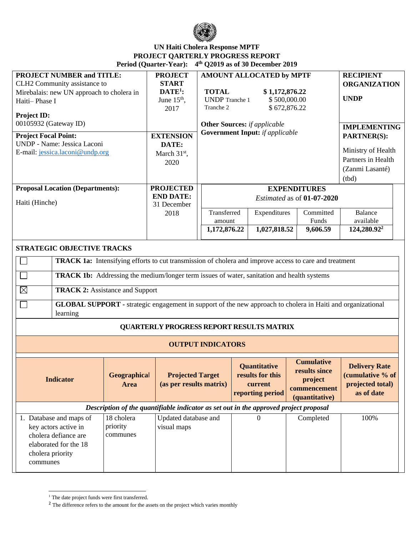

## **UN Haiti Cholera Response MPTF PROJECT QARTERLY PROGRESS REPORT Period (Quarter-Year): 4 th Q2019 as of 30 December 2019**

| <b>PROJECT NUMBER and TITLE:</b><br>CLH2 Community assistance to<br>Mirebalais: new UN approach to cholera in<br>Haiti-Phase I<br><b>Project ID:</b><br>00105932 (Gateway ID)<br><b>Project Focal Point:</b><br>UNDP - Name: Jessica Laconi<br>E-mail: jessica.laconi@undp.org                                                                                                                                                                                                                        |                                    | <b>PROJECT</b><br><b>START</b><br>$\mathbf{DATE}^1$ :<br>June $15th$ ,<br>2017<br><b>EXTENSION</b><br>DATE:<br>March 31st,<br>2020 | <b>AMOUNT ALLOCATED by MPTF</b><br><b>TOTAL</b><br>\$1,172,876.22<br><b>UNDP</b> Tranche 1<br>\$500,000.00<br>Tranche 2<br>\$672,876.22<br><b>Other Sources:</b> if applicable<br><b>Government Input:</b> if applicable |                                                                        |                    | <b>RECIPIENT</b><br><b>ORGANIZATION</b><br><b>UNDP</b><br><b>IMPLEMENTING</b><br><b>PARTNER(S):</b><br>Ministry of Health<br>Partners in Health<br>(Zanmi Lasanté)<br>(tbd) |                                                                            |
|-------------------------------------------------------------------------------------------------------------------------------------------------------------------------------------------------------------------------------------------------------------------------------------------------------------------------------------------------------------------------------------------------------------------------------------------------------------------------------------------------------|------------------------------------|------------------------------------------------------------------------------------------------------------------------------------|--------------------------------------------------------------------------------------------------------------------------------------------------------------------------------------------------------------------------|------------------------------------------------------------------------|--------------------|-----------------------------------------------------------------------------------------------------------------------------------------------------------------------------|----------------------------------------------------------------------------|
| <b>Proposal Location (Departments):</b><br>Haiti (Hinche)                                                                                                                                                                                                                                                                                                                                                                                                                                             |                                    | <b>PROJECTED</b><br><b>END DATE:</b><br>31 December<br>2018                                                                        | <b>EXPENDITURES</b><br>Estimated as of 01-07-2020<br>Transferred<br>Expenditures<br>amount                                                                                                                               |                                                                        | Committed<br>Funds | <b>Balance</b><br>available                                                                                                                                                 |                                                                            |
|                                                                                                                                                                                                                                                                                                                                                                                                                                                                                                       |                                    |                                                                                                                                    | 1,172,876.22                                                                                                                                                                                                             |                                                                        | 1,027,818.52       | 9,606.59                                                                                                                                                                    | 124,280.92 <sup>2</sup>                                                    |
| <b>STRATEGIC OBJECTIVE TRACKS</b><br><b>TRACK 1a:</b> Intensifying efforts to cut transmission of cholera and improve access to care and treatment<br><b>TRACK 1b:</b> Addressing the medium/longer term issues of water, sanitation and health systems<br>$\boxtimes$<br><b>TRACK 2: Assistance and Support</b><br><b>GLOBAL SUPPORT</b> - strategic engagement in support of the new approach to cholera in Haiti and organizational<br>learning<br><b>QUARTERLY PROGRESS REPORT RESULTS MATRIX</b> |                                    |                                                                                                                                    |                                                                                                                                                                                                                          |                                                                        |                    |                                                                                                                                                                             |                                                                            |
|                                                                                                                                                                                                                                                                                                                                                                                                                                                                                                       |                                    | <b>OUTPUT INDICATORS</b>                                                                                                           |                                                                                                                                                                                                                          |                                                                        |                    |                                                                                                                                                                             |                                                                            |
| Geographical<br><b>Indicator</b><br><b>Area</b>                                                                                                                                                                                                                                                                                                                                                                                                                                                       |                                    | <b>Projected Target</b><br>(as per results matrix)                                                                                 |                                                                                                                                                                                                                          | <b>Ouantitative</b><br>results for this<br>current<br>reporting period |                    | <b>Cumulative</b><br>results since<br>project<br>commencement<br>(quantitative)                                                                                             | <b>Delivery Rate</b><br>(cumulative % of<br>projected total)<br>as of date |
| Description of the quantifiable indicator as set out in the approved project proposal                                                                                                                                                                                                                                                                                                                                                                                                                 |                                    |                                                                                                                                    |                                                                                                                                                                                                                          |                                                                        |                    |                                                                                                                                                                             |                                                                            |
| 1. Database and maps of<br>key actors active in<br>cholera defiance are<br>elaborated for the 18<br>cholera priority<br>communes                                                                                                                                                                                                                                                                                                                                                                      | 18 cholera<br>priority<br>communes | Updated database and<br>visual maps                                                                                                |                                                                                                                                                                                                                          |                                                                        | 0                  | Completed                                                                                                                                                                   | 100%                                                                       |

 $^{\rm 1}$  The date project funds were first transferred.

<sup>&</sup>lt;sup>2</sup> The difference refers to the amount for the assets on the project which varies monthly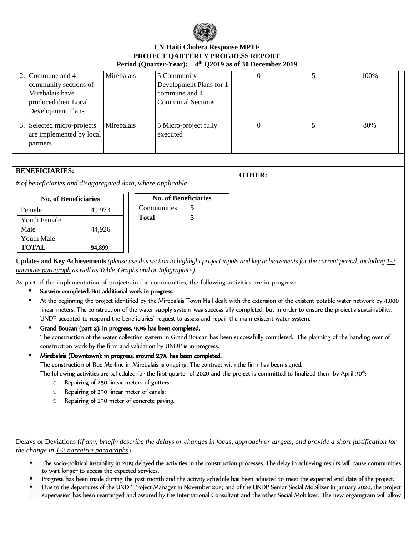

## **UN Haiti Cholera Response MPTF PROJECT QARTERLY PROGRESS REPORT Period (Quarter-Year): 4 th Q2019 as of 30 December 2019**

| 2. Commune and 4<br>community sections of<br>Mirebalais have<br>produced their Local<br><b>Development Plans</b> | Mirebalais | 5 Community<br>Development Plans for 1<br>commune and 4<br><b>Communal Sections</b> |  | 100\% |
|------------------------------------------------------------------------------------------------------------------|------------|-------------------------------------------------------------------------------------|--|-------|
| 3. Selected micro-projects<br>are implemented by local<br>partners                                               | Mirebalais | 5 Micro-project fully<br>executed                                                   |  | 80%   |

| <b>BENEFICIARIES:</b>                                       |        |                             |   |  | <b>OTHER:</b> |
|-------------------------------------------------------------|--------|-----------------------------|---|--|---------------|
| # of beneficiaries and disaggregated data, where applicable |        |                             |   |  |               |
| <b>No. of Beneficiaries</b>                                 |        | <b>No. of Beneficiaries</b> |   |  |               |
| Female                                                      | 49,973 | Communities                 | 5 |  |               |
| <b>Youth Female</b>                                         |        | <b>Total</b>                | 5 |  |               |
| Male                                                        | 44,926 |                             |   |  |               |
| Youth Male                                                  |        |                             |   |  |               |
| <b>TOTAL</b>                                                | 94,899 |                             |   |  |               |

**Updates and Key Achievements** *(please use this section to highlight project inputs and key achievements for the current period, including 1-2 narrative paragraph as well as Table, Graphs and or Infographics)*

As part of the implementation of projects in the communities, the following activities are in progress:

- Sarazin: completed. But additional work in progress
- At the beginning the project identified by the Mirebalais Town Hall dealt with the extension of the existent potable water network by 4,000 linear meters. The construction of the water supply system was successfully completed, but in order to ensure the project's sustainability, UNDP accepted to respond the beneficiaries' request to assess and repair the main existent water system.
- Grand Boucan (part 2): in progress, 90% has been completed.

The construction of the water collection system in Grand Boucan has been successfully completed. The planning of the handing over of construction work by the firm and validation by UNDP is in progress.

Mirebalais (Downtown): in progress, around 25% has been completed.

The construction of Rue Merline in Mirebalais is ongoing. The contract with the firm has been signed.

The following activities are scheduled for the first quarter of 2020 and the project is committed to finalized them by April 30<sup>th</sup>:

- o Repairing of 250 linear meters of gutters;
- o Repairing of 250 linear meter of canals;
- o Repairing of 250 meter of concrete paving.

Delays or Deviations (*if any, briefly describe the delays or changes in focus, approach or targets, and provide a short justification for the change in 1-2 narrative paragraphs*).

- The socio-political instability in 2019 delayed the activities in the construction processes. The delay in achieving results will cause communities to wait longer to access the expected services.
- Progress has been made during the past month and the activity schedule has been adjusted to meet the expected end date of the project.
- Due to the departures of the UNDP Project Manager in November 2019 and of the UNDP Senior Social Mobilizer in January 2020, the project supervision has been rearranged and assured by the International Consultant and the other Social Mobilizer. The new organigram will allow